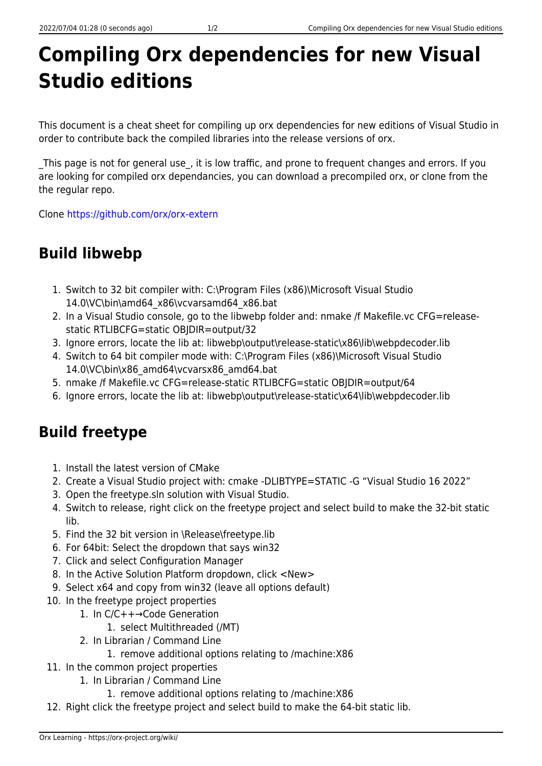# **Compiling Orx dependencies for new Visual Studio editions**

This document is a cheat sheet for compiling up orx dependencies for new editions of Visual Studio in order to contribute back the compiled libraries into the release versions of orx.

This page is not for general use, it is low traffic, and prone to frequent changes and errors. If you are looking for compiled orx dependancies, you can download a precompiled orx, or clone from the the regular repo.

Clone <https://github.com/orx/orx-extern>

## **Build libwebp**

- 1. Switch to 32 bit compiler with: C:\Program Files (x86)\Microsoft Visual Studio 14.0\VC\bin\amd64\_x86\vcvarsamd64\_x86.bat
- 2. In a Visual Studio console, go to the libwebp folder and: nmake /f Makefile.vc CFG=releasestatic RTLIBCFG=static OBJDIR=output/32
- 3. Ignore errors, locate the lib at: libwebp\output\release-static\x86\lib\webpdecoder.lib
- 4. Switch to 64 bit compiler mode with: C:\Program Files (x86)\Microsoft Visual Studio 14.0\VC\bin\x86\_amd64\vcvarsx86\_amd64.bat
- 5. nmake /f Makefile.vc CFG=release-static RTLIBCFG=static OBJDIR=output/64
- 6. Ignore errors, locate the lib at: libwebp\output\release-static\x64\lib\webpdecoder.lib

### **Build freetype**

- 1. Install the latest version of CMake
- 2. Create a Visual Studio project with: cmake -DLIBTYPE=STATIC -G "Visual Studio 16 2022"
- 3. Open the freetype.sln solution with Visual Studio.
- 4. Switch to release, right click on the freetype project and select build to make the 32-bit static lib.
- 5. Find the 32 bit version in \Release\freetype.lib
- 6. For 64bit: Select the dropdown that says win32
- 7. Click and select Configuration Manager
- 8. In the Active Solution Platform dropdown, click <New>
- 9. Select x64 and copy from win32 (leave all options default)
- 10. In the freetype project properties
	- 1. In C/C++→Code Generation
		- 1. select Multithreaded (/MT)
	- 2. In Librarian / Command Line
		- 1. remove additional options relating to /machine:X86
- 11. In the common project properties
	- 1. In Librarian / Command Line
		- 1. remove additional options relating to /machine:X86
- 12. Right click the freetype project and select build to make the 64-bit static lib.